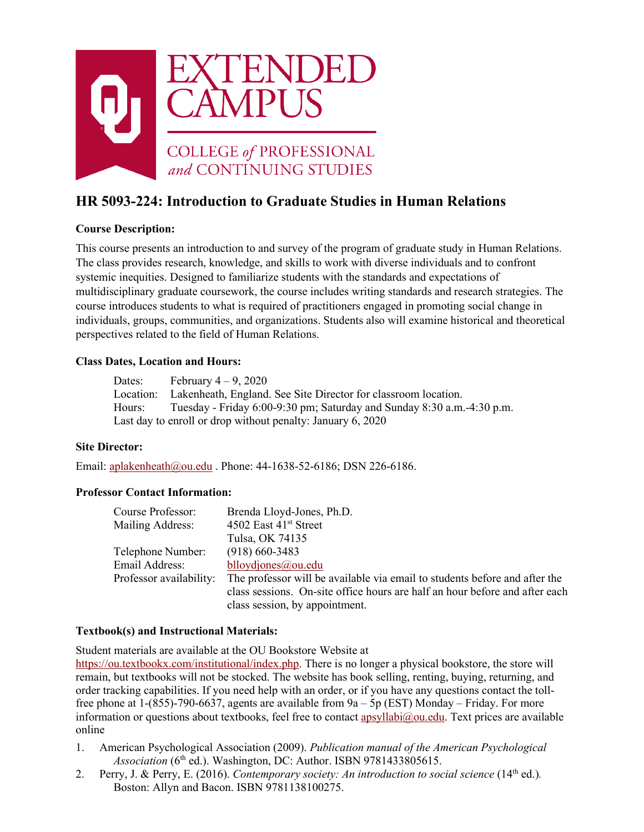

# **HR 5093-224: Introduction to Graduate Studies in Human Relations**

# **Course Description:**

This course presents an introduction to and survey of the program of graduate study in Human Relations. The class provides research, knowledge, and skills to work with diverse individuals and to confront systemic inequities. Designed to familiarize students with the standards and expectations of multidisciplinary graduate coursework, the course includes writing standards and research strategies. The course introduces students to what is required of practitioners engaged in promoting social change in individuals, groups, communities, and organizations. Students also will examine historical and theoretical perspectives related to the field of Human Relations.

# **Class Dates, Location and Hours:**

Dates: February  $4 - 9$ , 2020 Location: Lakenheath, England. See Site Director for classroom location. Hours: Tuesday - Friday 6:00-9:30 pm; Saturday and Sunday 8:30 a.m.-4:30 p.m. Last day to enroll or drop without penalty: January 6, 2020

# **Site Director:**

Email: [aplakenheath@ou.edu](mailto:aplakenheath@ou.edu) . Phone: 44-1638-52-6186; DSN 226-6186.

## **Professor Contact Information:**

| Course Professor:       | Brenda Lloyd-Jones, Ph.D.                                                   |
|-------------------------|-----------------------------------------------------------------------------|
| Mailing Address:        | 4502 East 41 <sup>st</sup> Street                                           |
|                         | Tulsa, OK 74135                                                             |
| Telephone Number:       | $(918)$ 660-3483                                                            |
| Email Address:          | blloydjones@ou.edu                                                          |
| Professor availability: | The professor will be available via email to students before and after the  |
|                         | class sessions. On-site office hours are half an hour before and after each |
|                         | class session, by appointment.                                              |

# **Textbook(s) and Instructional Materials:**

Student materials are available at the OU Bookstore Website at

[https://ou.textbookx.com/institutional/index.php.](https://ou.textbookx.com/institutional/index.php) There is no longer a physical bookstore, the store will remain, but textbooks will not be stocked. The website has book selling, renting, buying, returning, and order tracking capabilities. If you need help with an order, or if you have any questions contact the tollfree phone at  $1-(855)-790-6637$ , agents are available from  $9a - 5p$  (EST) Monday – Friday. For more information or questions about textbooks, feel free to contact apsyllabi $@$ ou.edu. Text prices are available online

- 1. American Psychological Association (2009). *Publication manual of the American Psychological Association* (6<sup>th</sup> ed.). Washington, DC: Author. ISBN 9781433805615.
- 2. Perry, J. & Perry, E. (2016). *Contemporary society: An introduction to social science* (14<sup>th</sup> ed.). Boston: Allyn and Bacon. ISBN 9781138100275.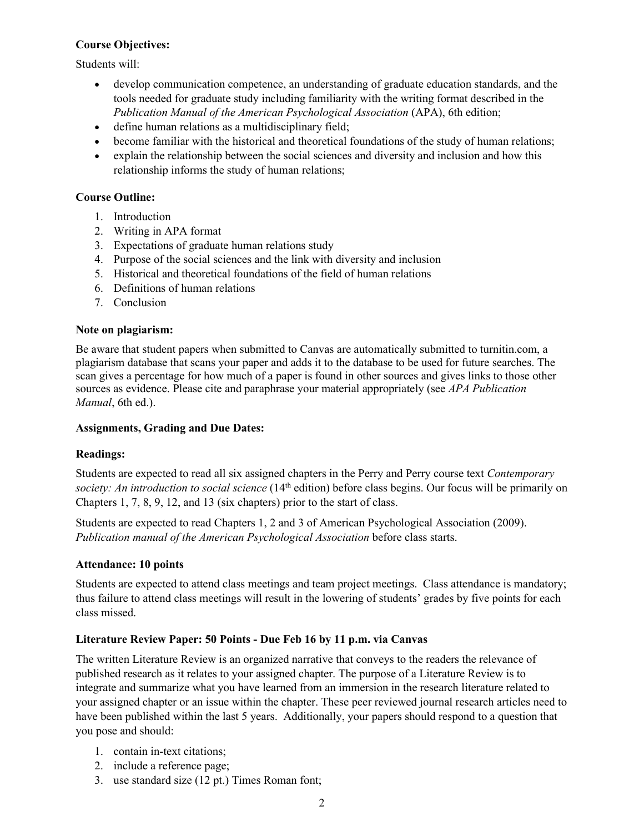# **Course Objectives:**

Students will:

- develop communication competence, an understanding of graduate education standards, and the tools needed for graduate study including familiarity with the writing format described in the *Publication Manual of the American Psychological Association* (APA), 6th edition;
- define human relations as a multidisciplinary field;
- become familiar with the historical and theoretical foundations of the study of human relations;
- explain the relationship between the social sciences and diversity and inclusion and how this relationship informs the study of human relations;

# **Course Outline:**

- 1. Introduction
- 2. Writing in APA format
- 3. Expectations of graduate human relations study
- 4. Purpose of the social sciences and the link with diversity and inclusion
- 5. Historical and theoretical foundations of the field of human relations
- 6. Definitions of human relations
- 7. Conclusion

## **Note on plagiarism:**

Be aware that student papers when submitted to Canvas are automatically submitted to turnitin.com, a plagiarism database that scans your paper and adds it to the database to be used for future searches. The scan gives a percentage for how much of a paper is found in other sources and gives links to those other sources as evidence. Please cite and paraphrase your material appropriately (see *APA Publication Manual*, 6th ed.).

## **Assignments, Grading and Due Dates:**

## **Readings:**

Students are expected to read all six assigned chapters in the Perry and Perry course text *Contemporary society: An introduction to social science* (14<sup>th</sup> edition) before class begins. Our focus will be primarily on Chapters 1, 7, 8, 9, 12, and 13 (six chapters) prior to the start of class.

Students are expected to read Chapters 1, 2 and 3 of American Psychological Association (2009). *Publication manual of the American Psychological Association* before class starts.

## **Attendance: 10 points**

Students are expected to attend class meetings and team project meetings. Class attendance is mandatory; thus failure to attend class meetings will result in the lowering of students' grades by five points for each class missed.

## **Literature Review Paper: 50 Points - Due Feb 16 by 11 p.m. via Canvas**

The written Literature Review is an organized narrative that conveys to the readers the relevance of published research as it relates to your assigned chapter. The purpose of a Literature Review is to integrate and summarize what you have learned from an immersion in the research literature related to your assigned chapter or an issue within the chapter. These peer reviewed journal research articles need to have been published within the last 5 years. Additionally, your papers should respond to a question that you pose and should:

- 1. contain in-text citations;
- 2. include a reference page;
- 3. use standard size (12 pt.) Times Roman font;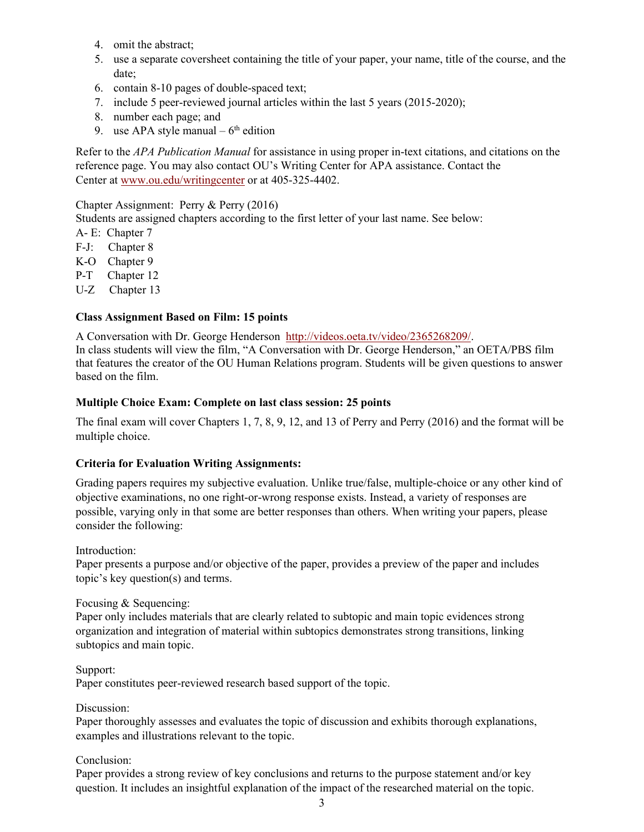- 4. omit the abstract;
- 5. use a separate coversheet containing the title of your paper, your name, title of the course, and the date;
- 6. contain 8-10 pages of double-spaced text;
- 7. include 5 peer-reviewed journal articles within the last 5 years (2015-2020);
- 8. number each page; and
- 9. use APA style manual  $-6<sup>th</sup>$  edition

Refer to the *APA Publication Manual* for assistance in using proper in-text citations, and citations on the reference page. You may also contact OU's Writing Center for APA assistance. Contact the Center at [www.ou.edu/writingcenter](http://www.ou.edu/writingcenter) or at 405-325-4402.

Chapter Assignment: Perry & Perry (2016)

Students are assigned chapters according to the first letter of your last name. See below:

- A- E: Chapter 7
- F-J: Chapter 8
- K-O Chapter 9
- P-T Chapter 12
- U-Z Chapter 13

#### **Class Assignment Based on Film: 15 points**

A Conversation with Dr. George Henderson [http://videos.oeta.tv/video/2365268209/.](http://videos.oeta.tv/video/2365268209/) In class students will view the film, "A Conversation with Dr. George Henderson," an OETA/PBS film that features the creator of the OU Human Relations program. Students will be given questions to answer based on the film.

#### **Multiple Choice Exam: Complete on last class session: 25 points**

The final exam will cover Chapters 1, 7, 8, 9, 12, and 13 of Perry and Perry (2016) and the format will be multiple choice.

#### **Criteria for Evaluation Writing Assignments:**

Grading papers requires my subjective evaluation. Unlike true/false, multiple-choice or any other kind of objective examinations, no one right-or-wrong response exists. Instead, a variety of responses are possible, varying only in that some are better responses than others. When writing your papers, please consider the following:

Introduction:

Paper presents a purpose and/or objective of the paper, provides a preview of the paper and includes topic's key question(s) and terms.

#### Focusing & Sequencing:

Paper only includes materials that are clearly related to subtopic and main topic evidences strong organization and integration of material within subtopics demonstrates strong transitions, linking subtopics and main topic.

Support:

Paper constitutes peer-reviewed research based support of the topic.

Discussion:

Paper thoroughly assesses and evaluates the topic of discussion and exhibits thorough explanations, examples and illustrations relevant to the topic.

Conclusion:

Paper provides a strong review of key conclusions and returns to the purpose statement and/or key question. It includes an insightful explanation of the impact of the researched material on the topic.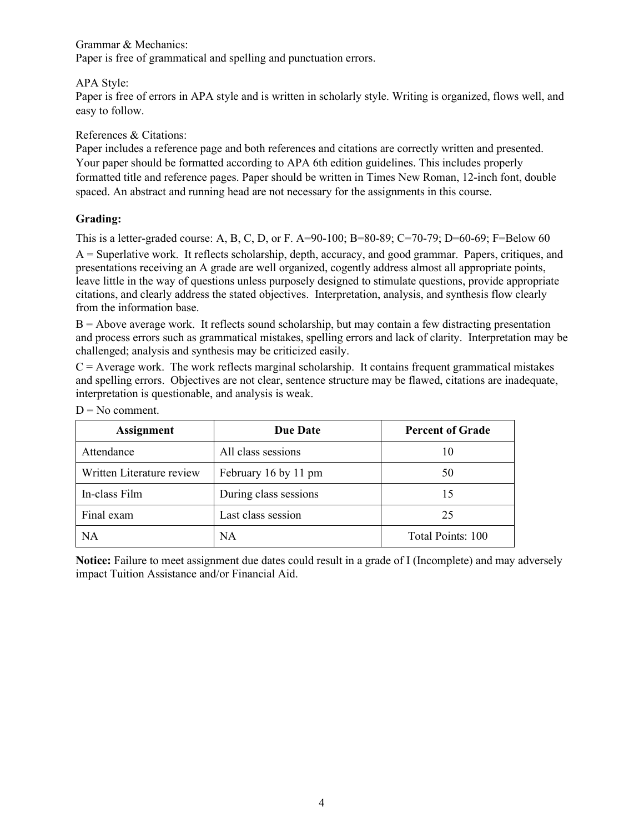Grammar & Mechanics:

Paper is free of grammatical and spelling and punctuation errors.

## APA Style:

Paper is free of errors in APA style and is written in scholarly style. Writing is organized, flows well, and easy to follow.

## References & Citations:

Paper includes a reference page and both references and citations are correctly written and presented. Your paper should be formatted according to APA 6th edition guidelines. This includes properly formatted title and reference pages. Paper should be written in Times New Roman, 12-inch font, double spaced. An abstract and running head are not necessary for the assignments in this course.

# **Grading:**

This is a letter-graded course: A, B, C, D, or F. A=90-100; B=80-89; C=70-79; D=60-69; F=Below 60

A = Superlative work. It reflects scholarship, depth, accuracy, and good grammar. Papers, critiques, and presentations receiving an A grade are well organized, cogently address almost all appropriate points, leave little in the way of questions unless purposely designed to stimulate questions, provide appropriate citations, and clearly address the stated objectives. Interpretation, analysis, and synthesis flow clearly from the information base.

 $B =$  Above average work. It reflects sound scholarship, but may contain a few distracting presentation and process errors such as grammatical mistakes, spelling errors and lack of clarity. Interpretation may be challenged; analysis and synthesis may be criticized easily.

 $C =$  Average work. The work reflects marginal scholarship. It contains frequent grammatical mistakes and spelling errors. Objectives are not clear, sentence structure may be flawed, citations are inadequate, interpretation is questionable, and analysis is weak.

| <b>Assignment</b>         | <b>Due Date</b>       | <b>Percent of Grade</b> |
|---------------------------|-----------------------|-------------------------|
| Attendance                | All class sessions    | 10                      |
| Written Literature review | February 16 by 11 pm  | 50                      |
| In-class Film             | During class sessions | 15                      |
| Final exam                | Last class session    | 25                      |
| NА                        | <b>NA</b>             | Total Points: 100       |

 $D = No$  comment.

**Notice:** Failure to meet assignment due dates could result in a grade of I (Incomplete) and may adversely impact Tuition Assistance and/or Financial Aid.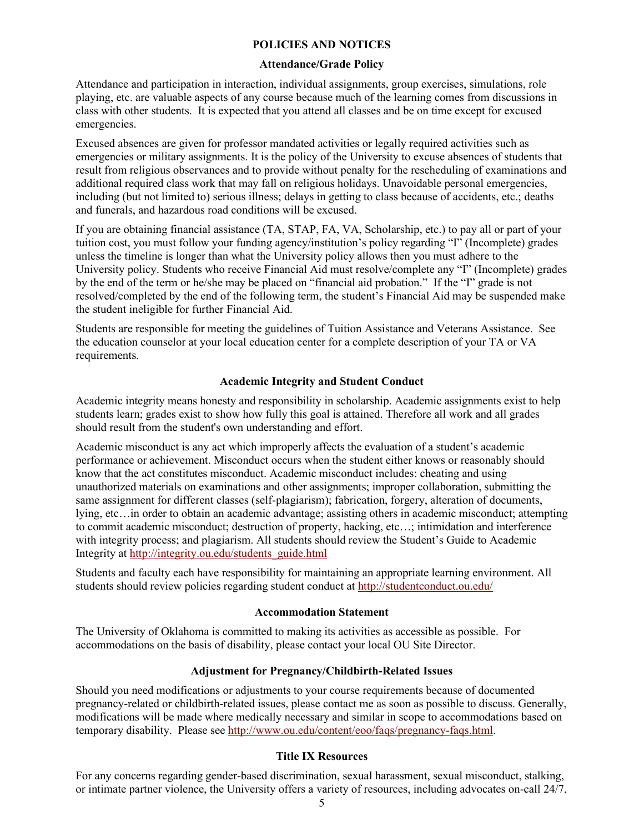#### **POLICIES AND NOTICES**

#### **Attendance/Grade Policy**

Attendance and participation in interaction, individual assignments, group exercises, simulations, role playing, etc. are valuable aspects of any course because much of the learning comes from discussions in class with other students. It is expected that you attend all classes and be on time except for excused emergencies.

Excused absences are given for professor mandated activities or legally required activities such as emergencies or military assignments. It is the policy of the University to excuse absences of students that result from religious observances and to provide without penalty for the rescheduling of examinations and additional required class work that may fall on religious holidays. Unavoidable personal emergencies, including (but not limited to) serious illness; delays in getting to class because of accidents, etc.; deaths and funerals, and hazardous road conditions will be excused.

If you are obtaining financial assistance (TA, STAP, FA, VA, Scholarship, etc.) to pay all or part of your tuition cost, you must follow your funding agency/institution's policy regarding "I" (Incomplete) grades unless the timeline is longer than what the University policy allows then you must adhere to the University policy. Students who receive Financial Aid must resolve/complete any "I" (Incomplete) grades by the end of the term or he/she may be placed on "financial aid probation." If the "I" grade is not resolved/completed by the end of the following term, the student's Financial Aid may be suspended make the student ineligible for further Financial Aid.

Students are responsible for meeting the guidelines of Tuition Assistance and Veterans Assistance. See the education counselor at your local education center for a complete description of your TA or VA requirements.

#### **Academic Integrity and Student Conduct**

Academic integrity means honesty and responsibility in scholarship. Academic assignments exist to help students learn; grades exist to show how fully this goal is attained. Therefore all work and all grades should result from the student's own understanding and effort.

Academic misconduct is any act which improperly affects the evaluation of a student's academic performance or achievement. Misconduct occurs when the student either knows or reasonably should know that the act constitutes misconduct. Academic misconduct includes: cheating and using unauthorized materials on examinations and other assignments; improper collaboration, submitting the same assignment for different classes (self-plagiarism); fabrication, forgery, alteration of documents, lying, etc…in order to obtain an academic advantage; assisting others in academic misconduct; attempting to commit academic misconduct; destruction of property, hacking, etc…; intimidation and interference with integrity process; and plagiarism. All students should review the Student's Guide to Academic Integrity at [http://integrity.ou.edu/students\\_guide.html](http://integrity.ou.edu/students_guide.html)

Students and faculty each have responsibility for maintaining an appropriate learning environment. All students should review policies regarding student conduct at<http://studentconduct.ou.edu/>

#### **Accommodation Statement**

The University of Oklahoma is committed to making its activities as accessible as possible. For accommodations on the basis of disability, please contact your local OU Site Director.

## **Adjustment for Pregnancy/Childbirth-Related Issues**

Should you need modifications or adjustments to your course requirements because of documented pregnancy-related or childbirth-related issues, please contact me as soon as possible to discuss. Generally, modifications will be made where medically necessary and similar in scope to accommodations based on temporary disability. Please see [http://www.ou.edu/content/eoo/faqs/pregnancy-faqs.html.](http://www.ou.edu/content/eoo/faqs/pregnancy-faqs.html)

## **Title IX Resources**

For any concerns regarding gender-based discrimination, sexual harassment, sexual misconduct, stalking, or intimate partner violence, the University offers a variety of resources, including advocates on-call 24/7,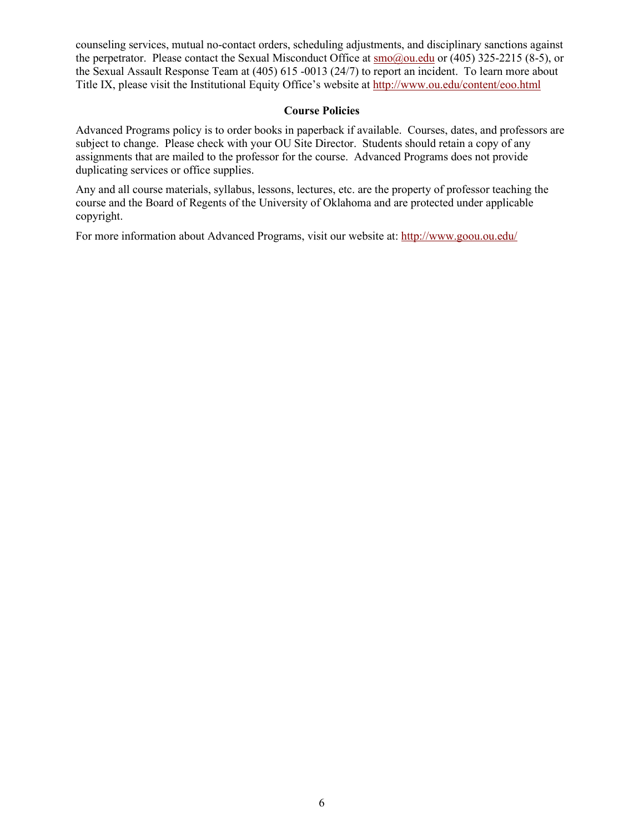counseling services, mutual no-contact orders, scheduling adjustments, and disciplinary sanctions against the perpetrator. Please contact the Sexual Misconduct Office at  $\text{smo}(a)$  ou.edu or (405) 325-2215 (8-5), or the Sexual Assault Response Team at (405) 615 -0013 (24/7) to report an incident. To learn more about Title IX, please visit the Institutional Equity Office's website at<http://www.ou.edu/content/eoo.html>

## **Course Policies**

Advanced Programs policy is to order books in paperback if available. Courses, dates, and professors are subject to change. Please check with your OU Site Director. Students should retain a copy of any assignments that are mailed to the professor for the course. Advanced Programs does not provide duplicating services or office supplies.

Any and all course materials, syllabus, lessons, lectures, etc. are the property of professor teaching the course and the Board of Regents of the University of Oklahoma and are protected under applicable copyright.

For more information about Advanced Programs, visit our website at:<http://www.goou.ou.edu/>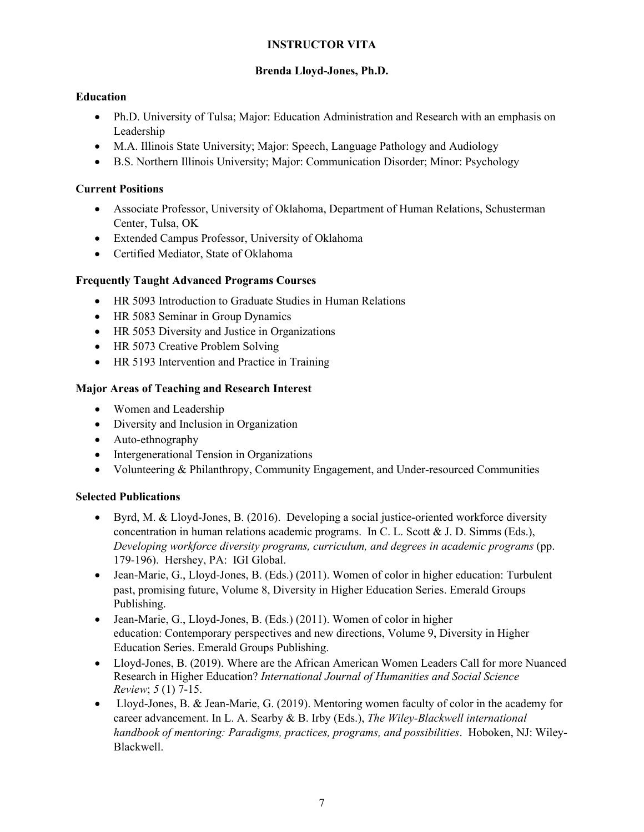# **INSTRUCTOR VITA**

# **Brenda Lloyd-Jones, Ph.D.**

# **Education**

- Ph.D. University of Tulsa; Major: Education Administration and Research with an emphasis on Leadership
- M.A. Illinois State University; Major: Speech, Language Pathology and Audiology
- B.S. Northern Illinois University; Major: Communication Disorder; Minor: Psychology

# **Current Positions**

- Associate Professor, University of Oklahoma, Department of Human Relations, Schusterman Center, Tulsa, OK
- Extended Campus Professor, University of Oklahoma
- Certified Mediator, State of Oklahoma

# **Frequently Taught Advanced Programs Courses**

- HR 5093 Introduction to Graduate Studies in Human Relations
- HR 5083 Seminar in Group Dynamics
- HR 5053 Diversity and Justice in Organizations
- HR 5073 Creative Problem Solving
- HR 5193 Intervention and Practice in Training

# **Major Areas of Teaching and Research Interest**

- Women and Leadership
- Diversity and Inclusion in Organization
- Auto-ethnography
- Intergenerational Tension in Organizations
- Volunteering & Philanthropy, Community Engagement, and Under-resourced Communities

# **Selected Publications**

- Byrd, M. & Lloyd-Jones, B. (2016). Developing a social justice-oriented workforce diversity concentration in human relations academic programs. In C. L. Scott & J. D. Simms (Eds.), *Developing workforce diversity programs, curriculum, and degrees in academic programs* (pp. 179-196). Hershey, PA: IGI Global.
- Jean-Marie, G., Lloyd-Jones, B. (Eds.) (2011). Women of color in higher education: Turbulent past, promising future, Volume 8, Diversity in Higher Education Series. Emerald Groups Publishing.
- Jean-Marie, G., Lloyd-Jones, B. (Eds.) (2011). Women of color in higher education: Contemporary perspectives and new directions, Volume 9, Diversity in Higher Education Series. Emerald Groups Publishing.
- Lloyd-Jones, B. (2019). Where are the African American Women Leaders Call for more Nuanced Research in Higher Education? *International Journal of Humanities and Social Science Review*; *5* (1) 7-15.
- Lloyd-Jones, B. & Jean-Marie, G. (2019). Mentoring women faculty of color in the academy for career advancement. In L. A. Searby & B. Irby (Eds.), *The Wiley-Blackwell international handbook of mentoring: Paradigms, practices, programs, and possibilities*. Hoboken, NJ: Wiley-Blackwell.